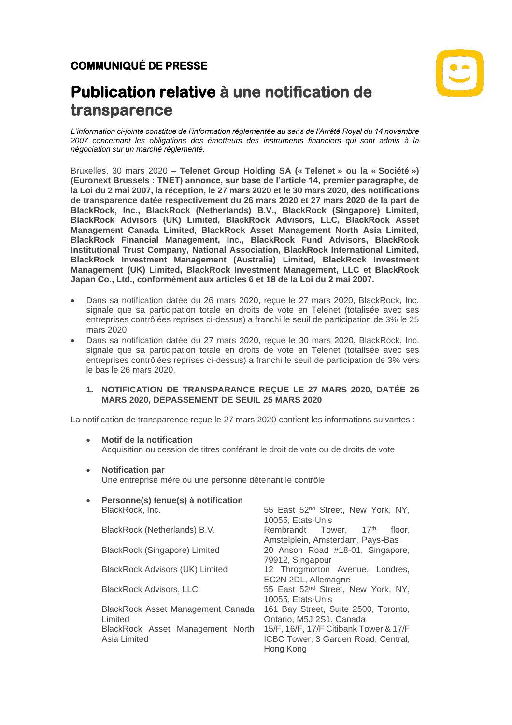

# **Publication relative à une notification de transparence**

*L'information ci-jointe constitue de l'information réglementée au sens de l'Arrêté Royal du 14 novembre 2007 concernant les obligations des émetteurs des instruments financiers qui sont admis à la négociation sur un marché réglementé.*

Bruxelles, 30 mars 2020 – **Telenet Group Holding SA (« Telenet » ou la « Société ») (Euronext Brussels : TNET) annonce, sur base de l'article 14, premier paragraphe, de la Loi du 2 mai 2007, la réception, le 27 mars 2020 et le 30 mars 2020, des notifications de transparence datée respectivement du 26 mars 2020 et 27 mars 2020 de la part de BlackRock, Inc., BlackRock (Netherlands) B.V., BlackRock (Singapore) Limited, BlackRock Advisors (UK) Limited, BlackRock Advisors, LLC, BlackRock Asset Management Canada Limited, BlackRock Asset Management North Asia Limited, BlackRock Financial Management, Inc., BlackRock Fund Advisors, BlackRock Institutional Trust Company, National Association, BlackRock International Limited, BlackRock Investment Management (Australia) Limited, BlackRock Investment Management (UK) Limited, BlackRock Investment Management, LLC et BlackRock Japan Co., Ltd., conformément aux articles 6 et 18 de la Loi du 2 mai 2007.**

- Dans sa notification datée du 26 mars 2020, reçue le 27 mars 2020, BlackRock, Inc. signale que sa participation totale en droits de vote en Telenet (totalisée avec ses entreprises contrôlées reprises ci-dessus) a franchi le seuil de participation de 3% le 25 mars 2020.
- Dans sa notification datée du 27 mars 2020, reçue le 30 mars 2020, BlackRock, Inc. signale que sa participation totale en droits de vote en Telenet (totalisée avec ses entreprises contrôlées reprises ci-dessus) a franchi le seuil de participation de 3% vers le bas le 26 mars 2020.

## **1. NOTIFICATION DE TRANSPARANCE REÇUE LE 27 MARS 2020, DATÉE 26 MARS 2020, DEPASSEMENT DE SEUIL 25 MARS 2020**

La notification de transparence reçue le 27 mars 2020 contient les informations suivantes :

- **Motif de la notification** Acquisition ou cession de titres conférant le droit de vote ou de droits de vote
- **Notification par** Une entreprise mère ou une personne détenant le contrôle

| $\bullet$ | Personne(s) tenue(s) à notification    |                                                |
|-----------|----------------------------------------|------------------------------------------------|
|           | BlackRock, Inc.                        | 55 East 52 <sup>nd</sup> Street, New York, NY, |
|           |                                        | 10055, Etats-Unis                              |
|           | BlackRock (Netherlands) B.V.           | Rembrandt Tower, 17th<br>floor.                |
|           |                                        | Amstelplein, Amsterdam, Pays-Bas               |
|           | BlackRock (Singapore) Limited          | 20 Anson Road #18-01, Singapore,               |
|           |                                        | 79912, Singapour                               |
|           | <b>BlackRock Advisors (UK) Limited</b> | 12 Throgmorton Avenue, Londres,                |
|           |                                        | EC2N 2DL, Allemagne                            |
|           | <b>BlackRock Advisors, LLC</b>         | 55 East 52 <sup>nd</sup> Street, New York, NY, |
|           |                                        | 10055, Etats-Unis                              |
|           | BlackRock Asset Management Canada      | 161 Bay Street, Suite 2500, Toronto,           |
|           | Limited                                | Ontario, M5J 2S1, Canada                       |
|           | BlackRock Asset Management North       | 15/F, 16/F, 17/F Citibank Tower & 17/F         |
|           | Asia Limited                           | ICBC Tower, 3 Garden Road, Central,            |
|           |                                        | Hong Kong                                      |
|           |                                        |                                                |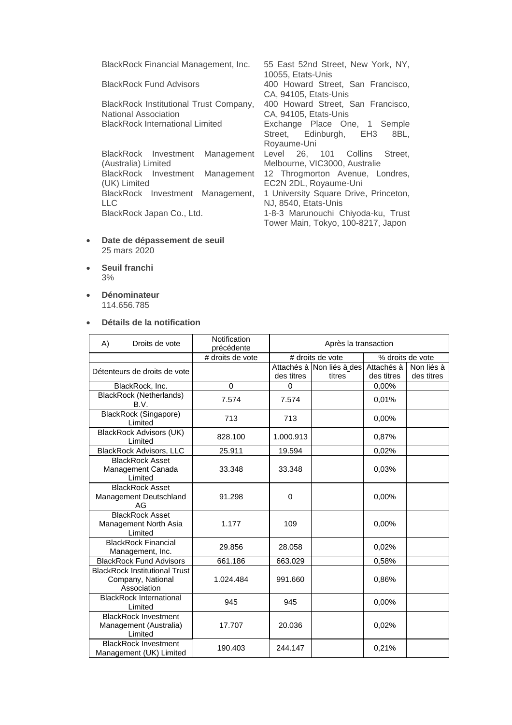BlackRock Financial Management, Inc. 55 East 52nd Street, New York, NY,

BlackRock Institutional Trust Company, National Association

BlackRock Investment Management (Australia) Limited BlackRock Investment Management (UK) Limited BlackRock Investment Management, LLC

10055, Etats-Unis BlackRock Fund Advisors 400 Howard Street, San Francisco, CA, 94105, Etats-Unis 400 Howard Street, San Francisco, CA, 94105, Etats-Unis BlackRock International Limited Exchange Place One, 1 Semple<br>Street, Edinburgh, EH3 8BL, Street, Edinburgh, EH3 Royaume-Uni Level 26, 101 Collins Street, Melbourne, VIC3000, Australie 12 Throgmorton Avenue, Londres, EC2N 2DL, Royaume-Uni 1 University Square Drive, Princeton, NJ, 8540, Etats-Unis BlackRock Japan Co., Ltd. 1-8-3 Marunouchi Chiyoda-ku, Trust Tower Main, Tokyo, 100-8217, Japon

- **Date de dépassement de seuil** 25 mars 2020
- **Seuil franchi** 3%
- **Dénominateur** 114.656.785

#### • **Détails de la notification**

A) Droits de vote **Notification**<br>
précédente Après la transaction # droits de vote  $\parallel$  # droits de vote  $\parallel$  % droits de vote Détenteurs de droits de vote des titres Attachés à Non liés à des titres Attachés à des titres Non liés à des titres BlackRock, Inc. 0 0 0,00% BlackRock (Netherlands)<br>B.V. B.V. 7.574 7.574 0,01% BlackRock (Singapore) Limited 1.0,00% 713 713 0,00% BlackRock Advisors (UK) Limited **828.100** 1.000.913 0,87% BlackRock Advisors, LLC | 25.911 | 19.594 | 0,02% BlackRock Asset Management Canada Limited 33.348 33.348 0,03% BlackRock Asset Management Deutschland AG 91.298 0 0 0 0,00% BlackRock Asset Management North Asia Limited 1.177 | 109 | 0.00% BlackRock Financial Management, Inc.  $\begin{array}{|c|c|c|c|c|c|c|c|} \hline \text{Manaqement, Inc.} & 29.856 & 28.058 & 0,02\% \hline \end{array}$ BlackRock Fund Advisors 661.186 663.029 0,58% BlackRock Institutional Trust Company, National Association 1.024.484 | 991.660 | 0,86% BlackRock International Limited <sup>945</sup> <sup>945</sup> 0,00% BlackRock Investment Management (Australia) Limited 17.707 20.036 0,02% BlackRock Investment BlackRock investment<br>Management (UK) Limited 190.403 244.147 0,21%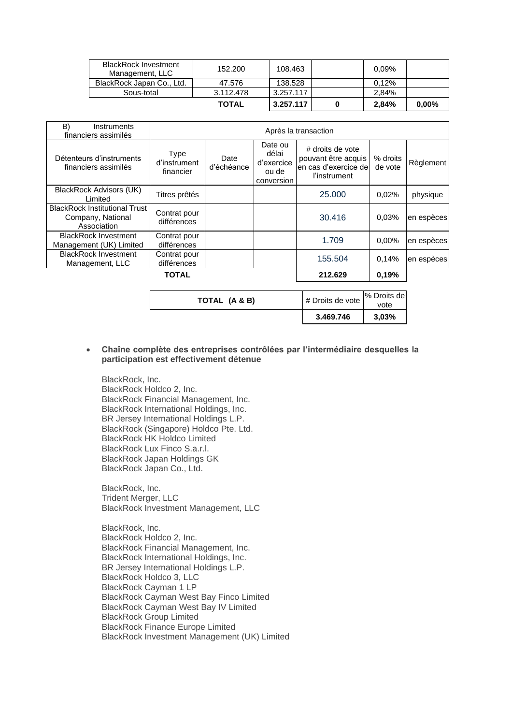| <b>BlackRock Investment</b><br>Management, LLC | 152.200      | 108.463   | 0.09% |          |
|------------------------------------------------|--------------|-----------|-------|----------|
| BlackRock Japan Co., Ltd.                      | 47.576       | 138.528   | 0.12% |          |
| Sous-total                                     | 3.112.478    | 3.257.117 | 2.84% |          |
|                                                | <b>TOTAL</b> | 3.257.117 | 2.84% | $0.00\%$ |

| B)<br>Instruments<br>financiers assimilés                                | Après la transaction                     |                    |                                                       |                                                                                 |                     |            |
|--------------------------------------------------------------------------|------------------------------------------|--------------------|-------------------------------------------------------|---------------------------------------------------------------------------------|---------------------|------------|
| Détenteurs d'instruments<br>financiers assimilés                         | <b>Type</b><br>d'instrument<br>financier | Date<br>d'échéance | Date ou<br>délai<br>d'exercice<br>ou de<br>conversion | # droits de vote<br>pouvant être acquis<br>en cas d'exercice de<br>l'instrument | % droits<br>de vote | Règlement  |
| BlackRock Advisors (UK)<br>Limited                                       | Titres prêtés                            |                    |                                                       | 25.000                                                                          | 0.02%               | physique   |
| <b>BlackRock Institutional Trust</b><br>Company, National<br>Association | Contrat pour<br>différences              |                    |                                                       | 30.416                                                                          | 0.03%               | en espèces |
| <b>BlackRock Investment</b><br>Management (UK) Limited                   | Contrat pour<br>différences              |                    |                                                       | 1.709                                                                           | 0.00%               | en espèces |
| <b>BlackRock Investment</b><br>Management, LLC                           | Contrat pour<br>différences              |                    |                                                       | 155.504                                                                         | 0,14%               | en espèces |
| <b>TOTAL</b>                                                             |                                          |                    | 212.629                                               | 0.19%                                                                           |                     |            |

|               | 3.469.746        | 3.03%       |
|---------------|------------------|-------------|
|               |                  | vote        |
| TOTAL (A & B) | # Droits de vote | % Droits de |

## • **Chaîne complète des entreprises contrôlées par l'intermédiaire desquelles la participation est effectivement détenue**

BlackRock, Inc. BlackRock Holdco 2, Inc. BlackRock Financial Management, Inc. BlackRock International Holdings, Inc. BR Jersey International Holdings L.P. BlackRock (Singapore) Holdco Pte. Ltd. BlackRock HK Holdco Limited BlackRock Lux Finco S.a.r.l. BlackRock Japan Holdings GK BlackRock Japan Co., Ltd.

BlackRock, Inc. Trident Merger, LLC BlackRock Investment Management, LLC

BlackRock, Inc. BlackRock Holdco 2, Inc. BlackRock Financial Management, Inc. BlackRock International Holdings, Inc. BR Jersey International Holdings L.P. BlackRock Holdco 3, LLC BlackRock Cayman 1 LP BlackRock Cayman West Bay Finco Limited BlackRock Cayman West Bay IV Limited BlackRock Group Limited BlackRock Finance Europe Limited BlackRock Investment Management (UK) Limited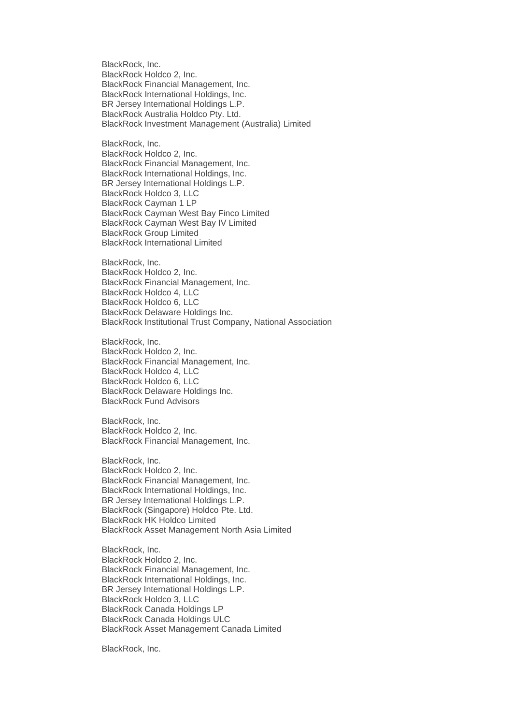BlackRock, Inc. BlackRock Holdco 2, Inc. BlackRock Financial Management, Inc. BlackRock International Holdings, Inc. BR Jersey International Holdings L.P. BlackRock Australia Holdco Pty. Ltd. BlackRock Investment Management (Australia) Limited

BlackRock, Inc. BlackRock Holdco 2, Inc. BlackRock Financial Management, Inc. BlackRock International Holdings, Inc. BR Jersey International Holdings L.P. BlackRock Holdco 3, LLC BlackRock Cayman 1 LP BlackRock Cayman West Bay Finco Limited BlackRock Cayman West Bay IV Limited BlackRock Group Limited BlackRock International Limited

BlackRock, Inc. BlackRock Holdco 2, Inc. BlackRock Financial Management, Inc. BlackRock Holdco 4, LLC BlackRock Holdco 6, LLC BlackRock Delaware Holdings Inc. BlackRock Institutional Trust Company, National Association

BlackRock, Inc. BlackRock Holdco 2, Inc. BlackRock Financial Management, Inc. BlackRock Holdco 4, LLC BlackRock Holdco 6, LLC BlackRock Delaware Holdings Inc. BlackRock Fund Advisors

BlackRock, Inc. BlackRock Holdco 2, Inc. BlackRock Financial Management, Inc.

BlackRock, Inc.

BlackRock Holdco 2, Inc. BlackRock Financial Management, Inc. BlackRock International Holdings, Inc. BR Jersey International Holdings L.P. BlackRock (Singapore) Holdco Pte. Ltd. BlackRock HK Holdco Limited BlackRock Asset Management North Asia Limited

BlackRock, Inc. BlackRock Holdco 2, Inc. BlackRock Financial Management, Inc. BlackRock International Holdings, Inc. BR Jersey International Holdings L.P. BlackRock Holdco 3, LLC BlackRock Canada Holdings LP BlackRock Canada Holdings ULC BlackRock Asset Management Canada Limited

BlackRock, Inc.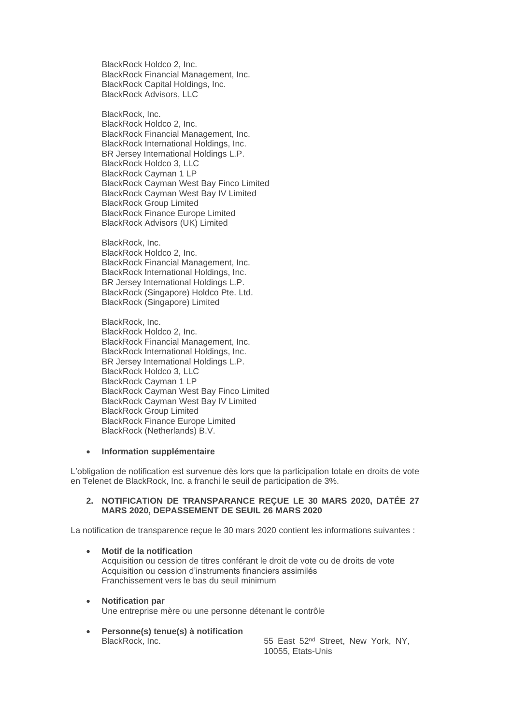BlackRock Holdco 2, Inc. BlackRock Financial Management, Inc. BlackRock Capital Holdings, Inc. BlackRock Advisors, LLC

BlackRock, Inc. BlackRock Holdco 2, Inc. BlackRock Financial Management, Inc. BlackRock International Holdings, Inc. BR Jersey International Holdings L.P. BlackRock Holdco 3, LLC BlackRock Cayman 1 LP BlackRock Cayman West Bay Finco Limited BlackRock Cayman West Bay IV Limited BlackRock Group Limited BlackRock Finance Europe Limited BlackRock Advisors (UK) Limited

BlackRock, Inc. BlackRock Holdco 2, Inc. BlackRock Financial Management, Inc. BlackRock International Holdings, Inc. BR Jersey International Holdings L.P. BlackRock (Singapore) Holdco Pte. Ltd. BlackRock (Singapore) Limited

BlackRock, Inc. BlackRock Holdco 2, Inc. BlackRock Financial Management, Inc. BlackRock International Holdings, Inc. BR Jersey International Holdings L.P. BlackRock Holdco 3, LLC BlackRock Cayman 1 LP BlackRock Cayman West Bay Finco Limited BlackRock Cayman West Bay IV Limited BlackRock Group Limited BlackRock Finance Europe Limited BlackRock (Netherlands) B.V.

### • **Information supplémentaire**

L'obligation de notification est survenue dès lors que la participation totale en droits de vote en Telenet de BlackRock, Inc. a franchi le seuil de participation de 3%.

### **2. NOTIFICATION DE TRANSPARANCE REÇUE LE 30 MARS 2020, DATÉE 27 MARS 2020, DEPASSEMENT DE SEUIL 26 MARS 2020**

La notification de transparence reçue le 30 mars 2020 contient les informations suivantes :

- **Motif de la notification** Acquisition ou cession de titres conférant le droit de vote ou de droits de vote Acquisition ou cession d'instruments financiers assimilés Franchissement vers le bas du seuil minimum
- **Notification par** Une entreprise mère ou une personne détenant le contrôle
- **Personne(s) tenue(s) à notification** BlackRock, Inc. 65 East 52<sup>nd</sup> Street, New York, NY,

10055, Etats-Unis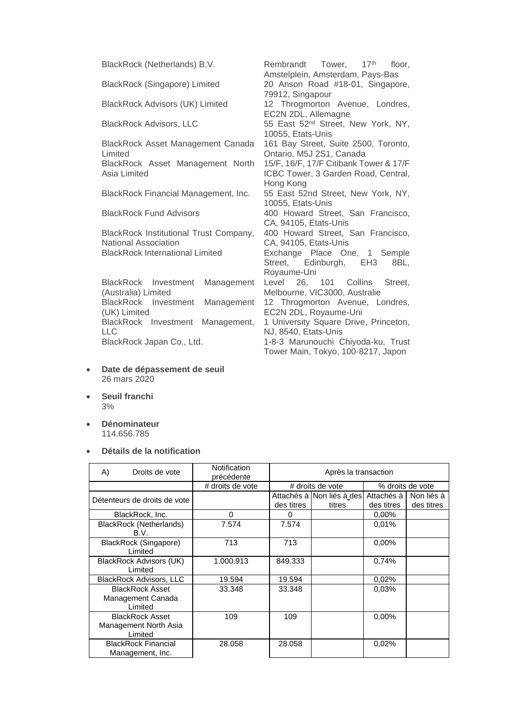| BlackRock (Netherlands) B.V.                                   | Rembrandt Tower, 17 <sup>th</sup> floor,<br>Amstelplein, Amsterdam, Pays-Bas               |
|----------------------------------------------------------------|--------------------------------------------------------------------------------------------|
| <b>BlackRock (Singapore) Limited</b>                           | 20 Anson Road #18-01, Singapore,<br>79912, Singapour                                       |
| <b>BlackRock Advisors (UK) Limited</b>                         | 12 Throgmorton Avenue, Londres,<br>EC2N 2DL, Allemagne                                     |
| <b>BlackRock Advisors, LLC</b>                                 | 55 East 52 <sup>nd</sup> Street, New York, NY,<br>10055, Etats-Unis                        |
| BlackRock Asset Management Canada<br>Limited                   | 161 Bay Street, Suite 2500, Toronto,<br>Ontario, M5J 2S1, Canada                           |
| BlackRock Asset Management North<br>Asia Limited               | 15/F, 16/F, 17/F Citibank Tower & 17/F<br>ICBC Tower, 3 Garden Road, Central,<br>Hong Kong |
| BlackRock Financial Management, Inc.                           | 55 East 52nd Street, New York, NY,<br>10055, Etats-Unis                                    |
| <b>BlackRock Fund Advisors</b>                                 | 400 Howard Street, San Francisco,<br>CA, 94105, Etats-Unis                                 |
| BlackRock Institutional Trust Company,<br>National Association | 400 Howard Street, San Francisco,<br>CA, 94105, Etats-Unis                                 |
| <b>BlackRock International Limited</b>                         | Exchange Place One, 1 Semple<br>Street, Edinburgh, EH3<br>8BL.<br>Royaume-Uni              |
| BlackRock Investment<br>Management<br>(Australia) Limited      | 26, 101 Collins<br>Street.<br>Level<br>Melbourne, VIC3000, Australie                       |
| BlackRock Investment<br>Management<br>(UK) Limited             | 12 Throgmorton Avenue, Londres,<br>EC2N 2DL, Royaume-Uni                                   |
| BlackRock Investment<br>Management,<br><b>LLC</b>              | 1 University Square Drive, Princeton,<br>NJ, 8540, Etats-Unis                              |
| BlackRock Japan Co., Ltd.                                      | 1-8-3 Marunouchi Chiyoda-ku, Trust<br>Tower Main, Tokyo, 100-8217, Japon                   |

- **Date de dépassement de seuil** 26 mars 2020
- **Seuil franchi** 3%
- **Dénominateur** 114.656.785
- **Détails de la notification**

| A) | Droits de vote                                             | Notification<br>précédente | Après la transaction |                                     |                            |                          |
|----|------------------------------------------------------------|----------------------------|----------------------|-------------------------------------|----------------------------|--------------------------|
|    |                                                            | # droits de vote           |                      | # droits de vote                    |                            | % droits de vote         |
|    | Détenteurs de droits de vote                               |                            | des titres           | Attachés à Non liés à des<br>titres | Attachés à l<br>des titres | Non liés à<br>des titres |
|    | BlackRock, Inc.                                            | 0                          | 0                    |                                     | $0.00\%$                   |                          |
|    | BlackRock (Netherlands)<br>B.V.                            | 7.574                      | 7.574                |                                     | 0,01%                      |                          |
|    | BlackRock (Singapore)<br>Limited                           | 713                        | 713                  |                                     | $0.00\%$                   |                          |
|    | BlackRock Advisors (UK)<br>Limited                         | 1.000.913                  | 849.333              |                                     | 0,74%                      |                          |
|    | <b>BlackRock Advisors, LLC</b>                             | 19.594                     | 19.594               |                                     | 0.02%                      |                          |
|    | <b>BlackRock Asset</b><br>Management Canada<br>Limited     | 33.348                     | 33.348               |                                     | 0.03%                      |                          |
|    | <b>BlackRock Asset</b><br>Management North Asia<br>Limited | 109                        | 109                  |                                     | $0.00\%$                   |                          |
|    | <b>BlackRock Financial</b><br>Management, Inc.             | 28.058                     | 28.058               |                                     | 0.02%                      |                          |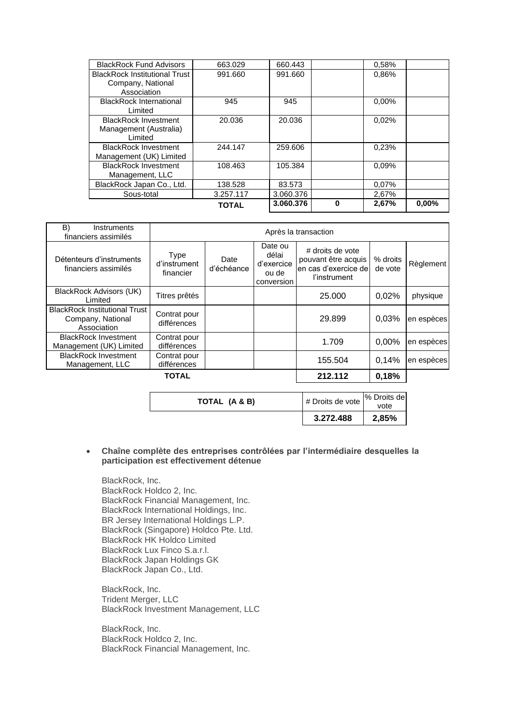| <b>BlackRock Fund Advisors</b>                                           | 663.029      | 660.443   |   | 0,58%    |       |
|--------------------------------------------------------------------------|--------------|-----------|---|----------|-------|
| <b>BlackRock Institutional Trust</b><br>Company, National<br>Association | 991.660      | 991.660   |   | 0.86%    |       |
| <b>BlackRock International</b><br>Limited                                | 945          | 945       |   | $0.00\%$ |       |
| <b>BlackRock Investment</b><br>Management (Australia)<br>Limited         | 20.036       | 20.036    |   | 0.02%    |       |
| <b>BlackRock Investment</b><br>Management (UK) Limited                   | 244.147      | 259,606   |   | 0.23%    |       |
| <b>BlackRock Investment</b><br>Management, LLC                           | 108.463      | 105.384   |   | 0.09%    |       |
| BlackRock Japan Co., Ltd.                                                | 138.528      | 83.573    |   | 0,07%    |       |
| Sous-total                                                               | 3.257.117    | 3.060.376 |   | 2,67%    |       |
|                                                                          | <b>TOTAL</b> | 3.060.376 | O | 2,67%    | 0,00% |

| B)<br>Instruments<br>financiers assimilés                                | Après la transaction                     |                    |                                                       |                                                                                 |                     |            |
|--------------------------------------------------------------------------|------------------------------------------|--------------------|-------------------------------------------------------|---------------------------------------------------------------------------------|---------------------|------------|
| Détenteurs d'instruments<br>financiers assimilés                         | <b>Type</b><br>d'instrument<br>financier | Date<br>d'échéance | Date ou<br>délai<br>d'exercice<br>ou de<br>conversion | # droits de vote<br>pouvant être acquis<br>en cas d'exercice de<br>l'instrument | % droits<br>de vote | Règlement  |
| BlackRock Advisors (UK)<br>Limited                                       | Titres prêtés                            |                    |                                                       | 25,000                                                                          | 0.02%               | physique   |
| <b>BlackRock Institutional Trust</b><br>Company, National<br>Association | Contrat pour<br>différences              |                    |                                                       | 29.899                                                                          | 0.03%               | en espèces |
| <b>BlackRock Investment</b><br>Management (UK) Limited                   | Contrat pour<br>différences              |                    |                                                       | 1.709                                                                           | $0.00\%$            | en espèces |
| <b>BlackRock Investment</b><br>Management, LLC                           | Contrat pour<br>différences              |                    |                                                       | 155.504                                                                         | 0,14%               | en espèces |
|                                                                          | <b>TOTAL</b>                             |                    |                                                       | 212.112                                                                         | 0,18%               |            |

|               | 3.272.488        |                     |
|---------------|------------------|---------------------|
| TOTAL (A & B) | # Droits de vote | % Droits de<br>vote |

• **Chaîne complète des entreprises contrôlées par l'intermédiaire desquelles la participation est effectivement détenue**

BlackRock, Inc. BlackRock Holdco 2, Inc. BlackRock Financial Management, Inc. BlackRock International Holdings, Inc. BR Jersey International Holdings L.P. BlackRock (Singapore) Holdco Pte. Ltd. BlackRock HK Holdco Limited BlackRock Lux Finco S.a.r.l. BlackRock Japan Holdings GK BlackRock Japan Co., Ltd.

BlackRock, Inc. Trident Merger, LLC BlackRock Investment Management, LLC

BlackRock, Inc. BlackRock Holdco 2, Inc. BlackRock Financial Management, Inc.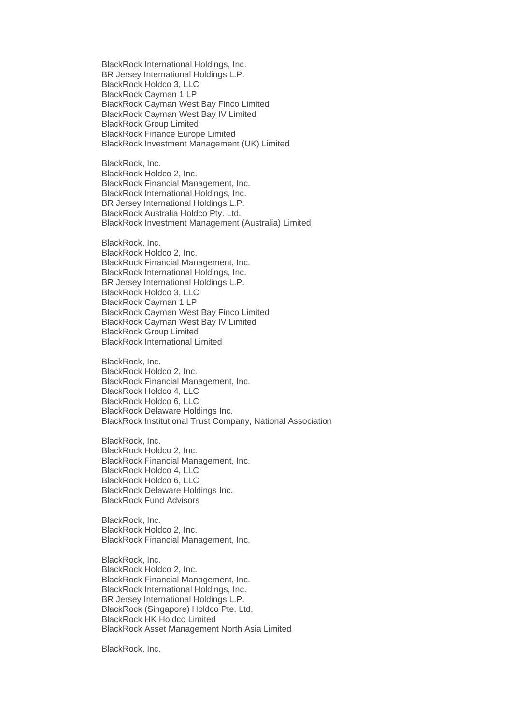BlackRock International Holdings, Inc. BR Jersey International Holdings L.P. BlackRock Holdco 3, LLC BlackRock Cayman 1 LP BlackRock Cayman West Bay Finco Limited BlackRock Cayman West Bay IV Limited BlackRock Group Limited BlackRock Finance Europe Limited BlackRock Investment Management (UK) Limited BlackRock, Inc. BlackRock Holdco 2, Inc. BlackRock Financial Management, Inc. BlackRock International Holdings, Inc. BR Jersey International Holdings L.P. BlackRock Australia Holdco Pty. Ltd. BlackRock Investment Management (Australia) Limited BlackRock, Inc. BlackRock Holdco 2, Inc. BlackRock Financial Management, Inc. BlackRock International Holdings, Inc. BR Jersey International Holdings L.P. BlackRock Holdco 3, LLC BlackRock Cayman 1 LP BlackRock Cayman West Bay Finco Limited BlackRock Cayman West Bay IV Limited BlackRock Group Limited BlackRock International Limited BlackRock, Inc. BlackRock Holdco 2, Inc. BlackRock Financial Management, Inc. BlackRock Holdco 4, LLC BlackRock Holdco 6, LLC BlackRock Delaware Holdings Inc. BlackRock Institutional Trust Company, National Association BlackRock, Inc. BlackRock Holdco 2, Inc. BlackRock Financial Management, Inc. BlackRock Holdco 4, LLC BlackRock Holdco 6, LLC BlackRock Delaware Holdings Inc. BlackRock Fund Advisors BlackRock, Inc. BlackRock Holdco 2, Inc. BlackRock Financial Management, Inc. BlackRock, Inc. BlackRock Holdco 2, Inc. BlackRock Financial Management, Inc. BlackRock International Holdings, Inc. BR Jersey International Holdings L.P. BlackRock (Singapore) Holdco Pte. Ltd. BlackRock HK Holdco Limited BlackRock Asset Management North Asia Limited

BlackRock, Inc.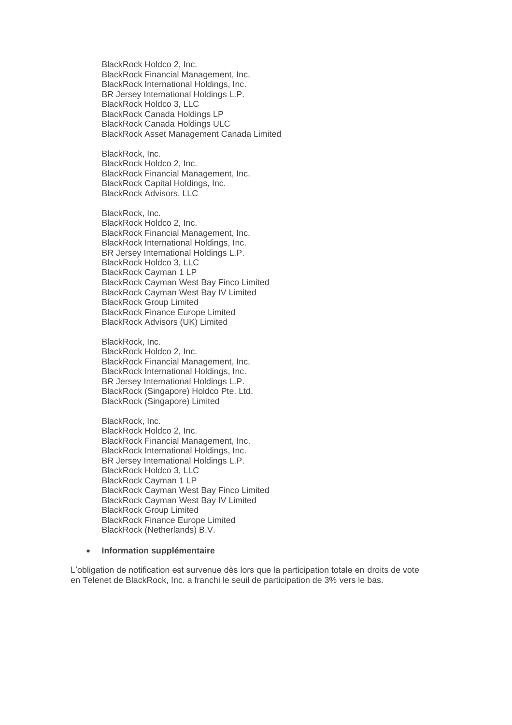BlackRock Holdco 2, Inc. BlackRock Financial Management, Inc. BlackRock International Holdings, Inc. BR Jersey International Holdings L.P. BlackRock Holdco 3, LLC BlackRock Canada Holdings LP BlackRock Canada Holdings ULC BlackRock Asset Management Canada Limited

BlackRock, Inc. BlackRock Holdco 2, Inc. BlackRock Financial Management, Inc. BlackRock Capital Holdings, Inc. BlackRock Advisors, LLC

BlackRock, Inc. BlackRock Holdco 2, Inc. BlackRock Financial Management, Inc. BlackRock International Holdings, Inc. BR Jersey International Holdings L.P. BlackRock Holdco 3, LLC BlackRock Cayman 1 LP BlackRock Cayman West Bay Finco Limited BlackRock Cayman West Bay IV Limited BlackRock Group Limited BlackRock Finance Europe Limited BlackRock Advisors (UK) Limited

BlackRock, Inc. BlackRock Holdco 2, Inc. BlackRock Financial Management, Inc. BlackRock International Holdings, Inc. BR Jersey International Holdings L.P. BlackRock (Singapore) Holdco Pte. Ltd. BlackRock (Singapore) Limited

BlackRock, Inc. BlackRock Holdco 2, Inc. BlackRock Financial Management, Inc. BlackRock International Holdings, Inc. BR Jersey International Holdings L.P. BlackRock Holdco 3, LLC BlackRock Cayman 1 LP BlackRock Cayman West Bay Finco Limited BlackRock Cayman West Bay IV Limited BlackRock Group Limited BlackRock Finance Europe Limited BlackRock (Netherlands) B.V.

#### • **Information supplémentaire**

L'obligation de notification est survenue dès lors que la participation totale en droits de vote en Telenet de BlackRock, Inc. a franchi le seuil de participation de 3% vers le bas.